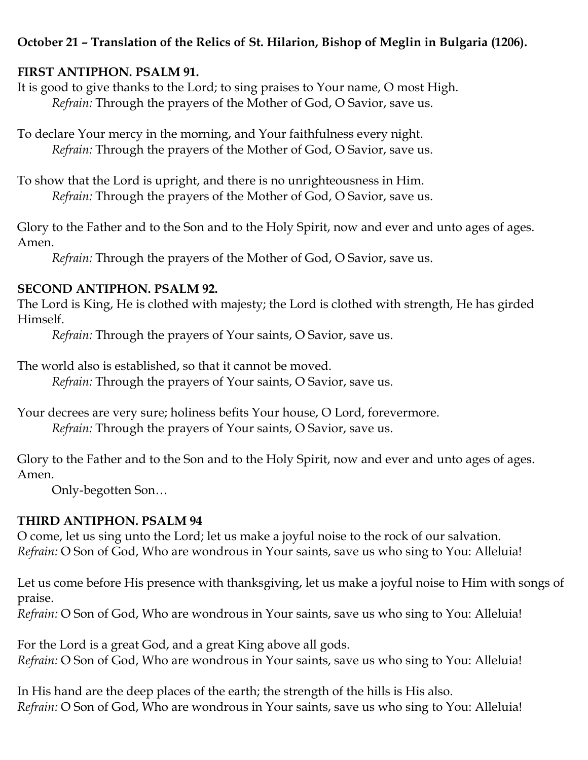# **October 21 – Translation of the Relics of St. Hilarion, Bishop of Meglin in Bulgaria (1206).**

# **FIRST ANTIPHON. PSALM 91.**

It is good to give thanks to the Lord; to sing praises to Your name, O most High. *Refrain:* Through the prayers of the Mother of God, O Savior, save us.

To declare Your mercy in the morning, and Your faithfulness every night. *Refrain:* Through the prayers of the Mother of God, O Savior, save us.

To show that the Lord is upright, and there is no unrighteousness in Him. *Refrain:* Through the prayers of the Mother of God, O Savior, save us.

Glory to the Father and to the Son and to the Holy Spirit, now and ever and unto ages of ages. Amen.

*Refrain:* Through the prayers of the Mother of God, O Savior, save us.

### **SECOND ANTIPHON. PSALM 92.**

The Lord is King, He is clothed with majesty; the Lord is clothed with strength, He has girded Himself.

*Refrain:* Through the prayers of Your saints, O Savior, save us.

The world also is established, so that it cannot be moved.

*Refrain:* Through the prayers of Your saints, O Savior, save us.

Your decrees are very sure; holiness befits Your house, O Lord, forevermore. *Refrain:* Through the prayers of Your saints, O Savior, save us.

Glory to the Father and to the Son and to the Holy Spirit, now and ever and unto ages of ages. Amen.

Only-begotten Son…

# **THIRD ANTIPHON. PSALM 94**

O come, let us sing unto the Lord; let us make a joyful noise to the rock of our salvation. *Refrain:* O Son of God, Who are wondrous in Your saints, save us who sing to You: Alleluia!

Let us come before His presence with thanksgiving, let us make a joyful noise to Him with songs of praise.

*Refrain:* O Son of God, Who are wondrous in Your saints, save us who sing to You: Alleluia!

For the Lord is a great God, and a great King above all gods. *Refrain:* O Son of God, Who are wondrous in Your saints, save us who sing to You: Alleluia!

In His hand are the deep places of the earth; the strength of the hills is His also. *Refrain:* O Son of God, Who are wondrous in Your saints, save us who sing to You: Alleluia!